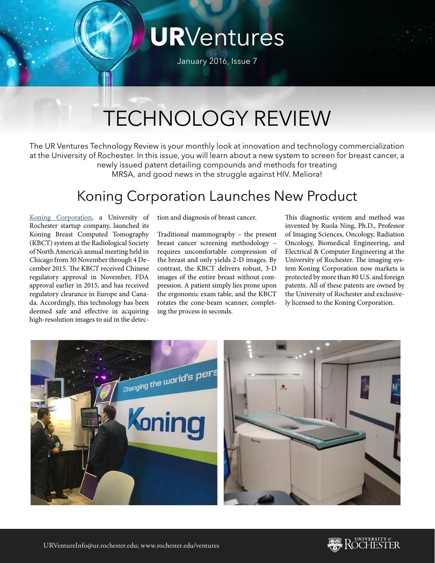# **UR**Ventures

January 2016, Issue 7

## TECHNOLOGY REVIEW

The UR Ventures Technology Review is your monthly look at innovation and technology commercialization at the University of Rochester. In this issue, you will learn about a new system to screen for breast cancer, a newly issued patent detailing compounds and methods for treating MRSA, and good news in the struggle against HIV. Meliora!

#### Koning Corporation Launches New Product

[Koning Corporation](http://m1.koningcorporation.com/), a University of Rochester startup company, launched its Koning Breast Computed Tomography (KBCT) system at the Radiological Society of North America's annual meeting held in Chicago from 30 November through 4 December 2015. The KBCT received Chinese regulatory approval in November, FDA approval earlier in 2015, and has received regulatory clearance in Europe and Canada. Accordingly, this technology has been deemed safe and effective in acquiring high-resolution images to aid in the detection and diagnosis of breast cancer.

Traditional mammography – the present breast cancer screening methodology – requires uncomfortable compression of the breast and only yields 2-D images. By contrast, the KBCT delivers robust, 3-D images of the entire breast without compression. A patient simply lies prone upon the ergonomic exam table, and the KBCT rotates the cone-beam scanner, completing the process in seconds.

This diagnostic system and method was invented by Ruola Ning, Ph.D., Professor of Imaging Sciences, Oncology, Radiation Oncology, Biomedical Engineering, and Electrical & Computer Engineering at the University of Rochester. The imaging system Koning Corporation now markets is protected by more than 80 U.S. and foreign patents. All of these patents are owned by the University of Rochester and exclusively licensed to the Koning Corporation.